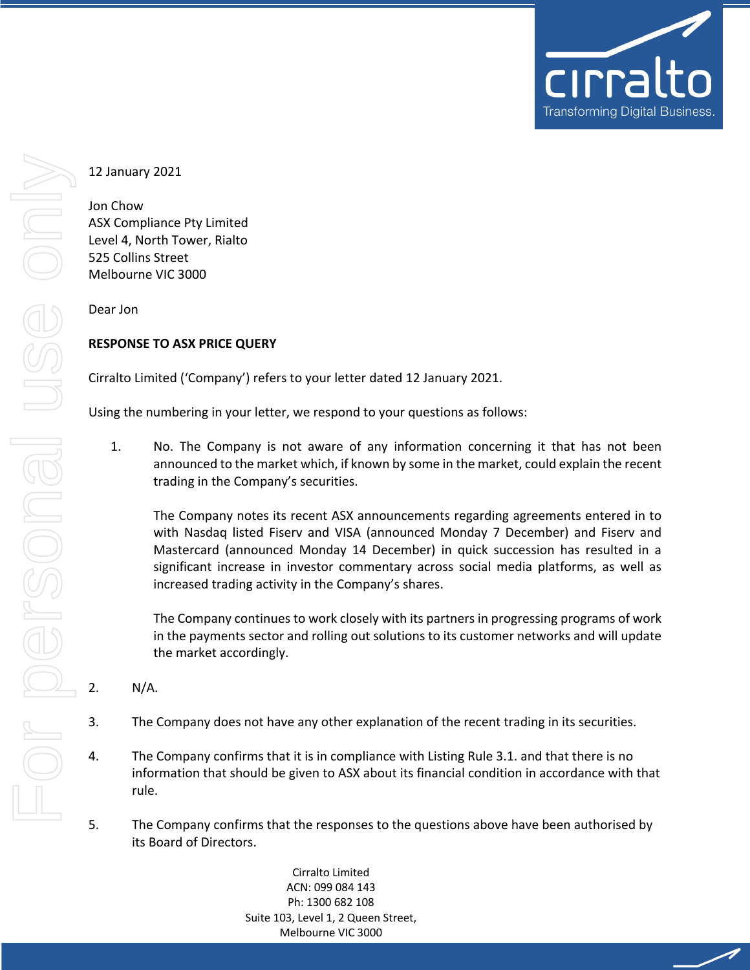

╱

 $\overline{\phantom{0}}$ 

12 January 2021

Jon Chow ASX Compliance Pty Limited Level 4, North Tower, Rialto 525 Collins Street Melbourne VIC 3000

Dear Jon

# **RESPONSE TO ASX PRICE QUERY**

Cirralto Limited ('Company') refers to your letter dated 12 January 2021.

Using the numbering in your letter, we respond to your questions as follows:

1. No. The Company is not aware of any information concerning it that has not been announced to the market which, if known by some in the market, could explain the recent trading in the Company's securities.

The Company notes its recent ASX announcements regarding agreements entered in to with Nasdaq listed Fiserv and VISA (announced Monday 7 December) and Fiserv and Mastercard (announced Monday 14 December) in quick succession has resulted in a significant increase in investor commentary across social media platforms, as well as increased trading activity in the Company's shares.

The Company continues to work closely with its partners in progressing programs of work in the payments sector and rolling out solutions to its customer networks and will update the market accordingly.

- 2. N/A.
- 3. The Company does not have any other explanation of the recent trading in its securities.
- 4. The Company confirms that it is in compliance with Listing Rule 3.1. and that there is no information that should be given to ASX about its financial condition in accordance with that rule.
- 5. The Company confirms that the responses to the questions above have been authorised by its Board of Directors.

Cirralto Limited ACN: 099 084 143 Ph: 1300 682 108 Suite 103, Level 1, 2 Queen Street, Melbourne VIC 3000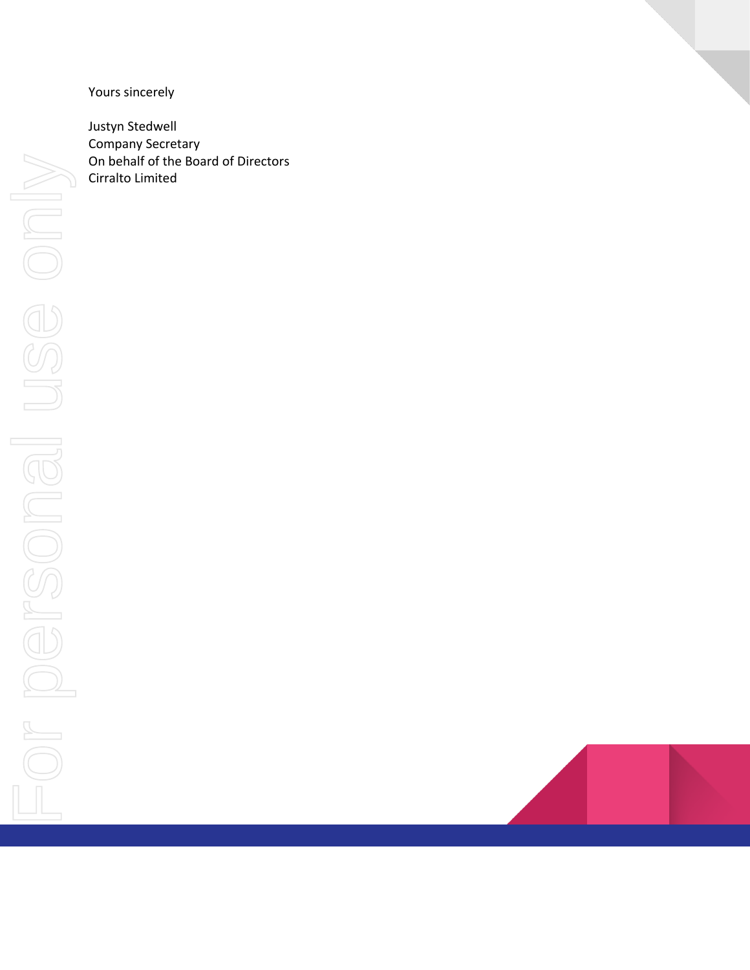# Yours sincerely

Justyn Stedwell Company Secretary On behalf of the Board of Directors Cirralto Limited

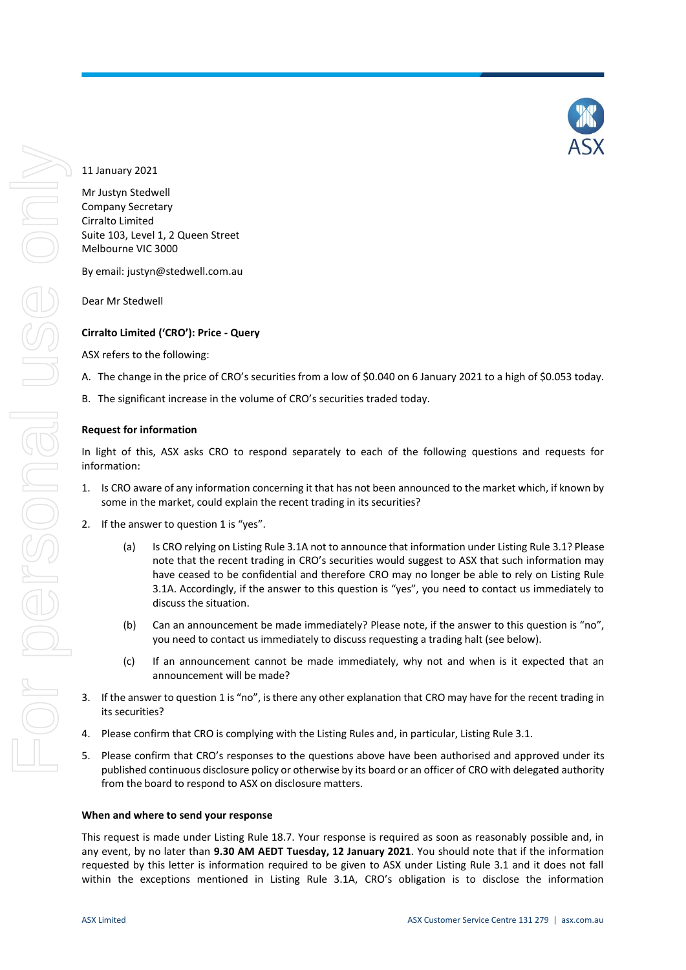

Mr Justyn Stedwell Company Secretary Cirralto Limited Suite 103, Level 1, 2 Queen Street Melbourne VIC 3000

By email: justyn@stedwell.com.au

Dear Mr Stedwell

## **Cirralto Limited ('CRO'): Price - Query**

ASX refers to the following:

- A. The change in the price of CRO's securities from a low of \$0.040 on 6 January 2021 to a high of \$0.053 today.
- B. The significant increase in the volume of CRO's securities traded today.

## **Request for information**

In light of this, ASX asks CRO to respond separately to each of the following questions and requests for information:

- 1. Is CRO aware of any information concerning it that has not been announced to the market which, if known by some in the market, could explain the recent trading in its securities?
- 2. If the answer to question 1 is "yes".
	- (a) Is CRO relying on Listing Rule 3.1A not to announce that information under Listing Rule 3.1? Please note that the recent trading in CRO's securities would suggest to ASX that such information may have ceased to be confidential and therefore CRO may no longer be able to rely on Listing Rule 3.1A. Accordingly, if the answer to this question is "yes", you need to contact us immediately to discuss the situation.
	- (b) Can an announcement be made immediately? Please note, if the answer to this question is "no", you need to contact us immediately to discuss requesting a trading halt (see below).
	- (c) If an announcement cannot be made immediately, why not and when is it expected that an announcement will be made?
- 3. If the answer to question 1 is "no", is there any other explanation that CRO may have for the recent trading in its securities?
- 4. Please confirm that CRO is complying with the Listing Rules and, in particular, Listing Rule 3.1.
- 5. Please confirm that CRO's responses to the questions above have been authorised and approved under its published continuous disclosure policy or otherwise by its board or an officer of CRO with delegated authority from the board to respond to ASX on disclosure matters.

#### **When and where to send your response**

This request is made under Listing Rule 18.7. Your response is required as soon as reasonably possible and, in any event, by no later than **9.30 AM AEDT Tuesday, 12 January 2021**. You should note that if the information requested by this letter is information required to be given to ASX under Listing Rule 3.1 and it does not fall within the exceptions mentioned in Listing Rule 3.1A, CRO's obligation is to disclose the information